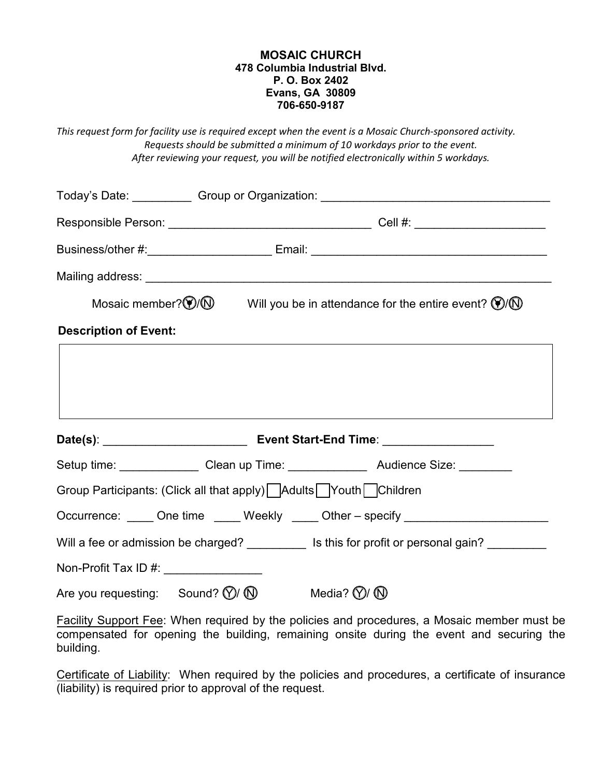## **MOSAIC CHURCH 478 Columbia Industrial Blvd. P. O. Box 2402 Evans, GA 30809 706-650-9187**

*This request form for facility use is required except when the event is a Mosaic Church-sponsored activity. Requests should be submitted a minimum of 10 workdays prior to the event. After reviewing your request, you will be notified electronically within 5 workdays.* 

|                                                                                   | Mosaic member? $\circled{f}/\circled{f}$ Will you be in attendance for the entire event? $\circled{f}/\circled{f}$ |
|-----------------------------------------------------------------------------------|--------------------------------------------------------------------------------------------------------------------|
| <b>Description of Event:</b>                                                      |                                                                                                                    |
|                                                                                   |                                                                                                                    |
|                                                                                   |                                                                                                                    |
|                                                                                   |                                                                                                                    |
|                                                                                   |                                                                                                                    |
|                                                                                   | Setup time: ________________ Clean up Time: _______________ Audience Size: _______                                 |
| Group Participants: (Click all that apply) Adults Youth Children                  |                                                                                                                    |
|                                                                                   | Occurrence: _____ One time _____ Weekly _____ Other - specify __________________                                   |
|                                                                                   | Will a fee or admission be charged? ___________ Is this for profit or personal gain? _________                     |
| Non-Profit Tax ID #: _______________                                              |                                                                                                                    |
| Are you requesting: Sound? $\mathbb{Q}/\mathbb{Q}$ Media? $\mathbb{Q}/\mathbb{Q}$ |                                                                                                                    |

Facility Support Fee: When required by the policies and procedures, a Mosaic member must be compensated for opening the building, remaining onsite during the event and securing the building.

Certificate of Liability: When required by the policies and procedures, a certificate of insurance (liability) is required prior to approval of the request.